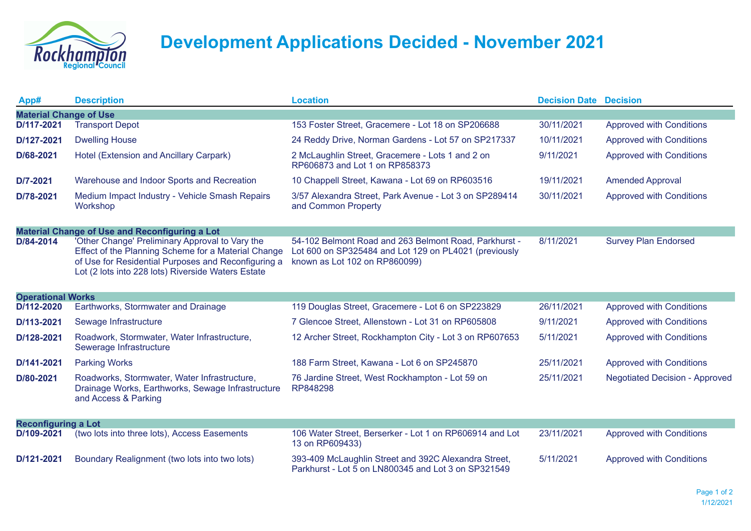

## **Development Applications Decided - November 2021**

| App#                                                  | <b>Description</b>                                                                                                                                                                                                  | <b>Location</b>                                                                                                                                 | <b>Decision Date Decision</b> |                                       |  |  |  |
|-------------------------------------------------------|---------------------------------------------------------------------------------------------------------------------------------------------------------------------------------------------------------------------|-------------------------------------------------------------------------------------------------------------------------------------------------|-------------------------------|---------------------------------------|--|--|--|
| <b>Material Change of Use</b>                         |                                                                                                                                                                                                                     |                                                                                                                                                 |                               |                                       |  |  |  |
| D/117-2021                                            | <b>Transport Depot</b>                                                                                                                                                                                              | 153 Foster Street, Gracemere - Lot 18 on SP206688                                                                                               | 30/11/2021                    | <b>Approved with Conditions</b>       |  |  |  |
| D/127-2021                                            | <b>Dwelling House</b>                                                                                                                                                                                               | 24 Reddy Drive, Norman Gardens - Lot 57 on SP217337                                                                                             | 10/11/2021                    | <b>Approved with Conditions</b>       |  |  |  |
| D/68-2021                                             | Hotel (Extension and Ancillary Carpark)                                                                                                                                                                             | 2 McLaughlin Street, Gracemere - Lots 1 and 2 on<br>RP606873 and Lot 1 on RP858373                                                              | 9/11/2021                     | <b>Approved with Conditions</b>       |  |  |  |
| D/7-2021                                              | Warehouse and Indoor Sports and Recreation                                                                                                                                                                          | 10 Chappell Street, Kawana - Lot 69 on RP603516                                                                                                 | 19/11/2021                    | <b>Amended Approval</b>               |  |  |  |
| D/78-2021                                             | Medium Impact Industry - Vehicle Smash Repairs<br>Workshop                                                                                                                                                          | 3/57 Alexandra Street, Park Avenue - Lot 3 on SP289414<br>and Common Property                                                                   | 30/11/2021                    | <b>Approved with Conditions</b>       |  |  |  |
| <b>Material Change of Use and Reconfiguring a Lot</b> |                                                                                                                                                                                                                     |                                                                                                                                                 |                               |                                       |  |  |  |
| D/84-2014                                             | 'Other Change' Preliminary Approval to Vary the<br>Effect of the Planning Scheme for a Material Change<br>of Use for Residential Purposes and Reconfiguring a<br>Lot (2 lots into 228 lots) Riverside Waters Estate | 54-102 Belmont Road and 263 Belmont Road, Parkhurst -<br>Lot 600 on SP325484 and Lot 129 on PL4021 (previously<br>known as Lot 102 on RP860099) | 8/11/2021                     | <b>Survey Plan Endorsed</b>           |  |  |  |
| <b>Operational Works</b>                              |                                                                                                                                                                                                                     |                                                                                                                                                 |                               |                                       |  |  |  |
| D/112-2020                                            | Earthworks, Stormwater and Drainage                                                                                                                                                                                 | 119 Douglas Street, Gracemere - Lot 6 on SP223829                                                                                               | 26/11/2021                    | <b>Approved with Conditions</b>       |  |  |  |
| D/113-2021                                            | Sewage Infrastructure                                                                                                                                                                                               | 7 Glencoe Street, Allenstown - Lot 31 on RP605808                                                                                               | 9/11/2021                     | <b>Approved with Conditions</b>       |  |  |  |
| D/128-2021                                            | Roadwork, Stormwater, Water Infrastructure,<br>Sewerage Infrastructure                                                                                                                                              | 12 Archer Street, Rockhampton City - Lot 3 on RP607653                                                                                          | 5/11/2021                     | <b>Approved with Conditions</b>       |  |  |  |
| D/141-2021                                            | <b>Parking Works</b>                                                                                                                                                                                                | 188 Farm Street, Kawana - Lot 6 on SP245870                                                                                                     | 25/11/2021                    | <b>Approved with Conditions</b>       |  |  |  |
| D/80-2021                                             | Roadworks, Stormwater, Water Infrastructure,<br>Drainage Works, Earthworks, Sewage Infrastructure<br>and Access & Parking                                                                                           | 76 Jardine Street, West Rockhampton - Lot 59 on<br>RP848298                                                                                     | 25/11/2021                    | <b>Negotiated Decision - Approved</b> |  |  |  |
| <b>Reconfiguring a Lot</b>                            |                                                                                                                                                                                                                     |                                                                                                                                                 |                               |                                       |  |  |  |
| D/109-2021                                            | (two lots into three lots), Access Easements                                                                                                                                                                        | 106 Water Street, Berserker - Lot 1 on RP606914 and Lot<br>13 on RP609433)                                                                      | 23/11/2021                    | <b>Approved with Conditions</b>       |  |  |  |
| D/121-2021                                            | Boundary Realignment (two lots into two lots)                                                                                                                                                                       | 393-409 McLaughlin Street and 392C Alexandra Street,<br>Parkhurst - Lot 5 on LN800345 and Lot 3 on SP321549                                     | 5/11/2021                     | <b>Approved with Conditions</b>       |  |  |  |